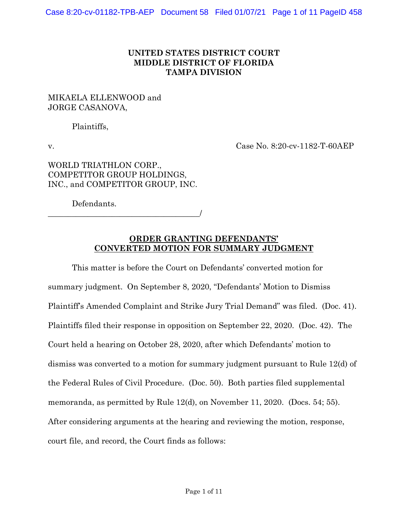## **UNITED STATES DISTRICT COURT MIDDLE DISTRICT OF FLORIDA TAMPA DIVISION**

### MIKAELA ELLENWOOD and JORGE CASANOVA,

Plaintiffs,

v. Case No. 8:20-cv-1182-T-60AEP

## WORLD TRIATHLON CORP., COMPETITOR GROUP HOLDINGS, INC., and COMPETITOR GROUP, INC.

Defendants.

\_\_\_\_\_\_\_\_\_\_\_\_\_\_\_\_\_\_\_\_\_\_\_\_\_\_\_\_\_\_\_\_\_\_\_\_\_\_/

### **ORDER GRANTING DEFENDANTS' CONVERTED MOTION FOR SUMMARY JUDGMENT**

This matter is before the Court on Defendants' converted motion for summary judgment. On September 8, 2020, "Defendants' Motion to Dismiss Plaintiff's Amended Complaint and Strike Jury Trial Demand" was filed. (Doc. 41). Plaintiffs filed their response in opposition on September 22, 2020. (Doc. 42). The Court held a hearing on October 28, 2020, after which Defendants' motion to dismiss was converted to a motion for summary judgment pursuant to Rule 12(d) of the Federal Rules of Civil Procedure. (Doc. 50). Both parties filed supplemental memoranda, as permitted by Rule 12(d), on November 11, 2020. (Docs. 54; 55). After considering arguments at the hearing and reviewing the motion, response, court file, and record, the Court finds as follows: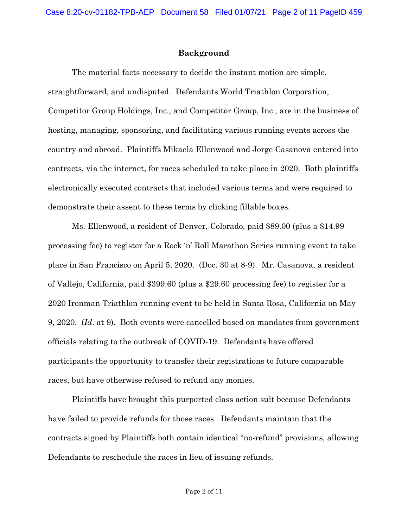### **Background**

The material facts necessary to decide the instant motion are simple, straightforward, and undisputed. Defendants World Triathlon Corporation, Competitor Group Holdings, Inc., and Competitor Group, Inc., are in the business of hosting, managing, sponsoring, and facilitating various running events across the country and abroad. Plaintiffs Mikaela Ellenwood and Jorge Casanova entered into contracts, via the internet, for races scheduled to take place in 2020. Both plaintiffs electronically executed contracts that included various terms and were required to demonstrate their assent to these terms by clicking fillable boxes.

Ms. Ellenwood, a resident of Denver, Colorado, paid \$89.00 (plus a \$14.99 processing fee) to register for a Rock 'n' Roll Marathon Series running event to take place in San Francisco on April 5, 2020. (Doc. 30 at 8-9). Mr. Casanova, a resident of Vallejo, California, paid \$399.60 (plus a \$29.60 processing fee) to register for a 2020 Ironman Triathlon running event to be held in Santa Rosa, California on May 9, 2020. (*Id*. at 9). Both events were cancelled based on mandates from government officials relating to the outbreak of COVID-19. Defendants have offered participants the opportunity to transfer their registrations to future comparable races, but have otherwise refused to refund any monies.

Plaintiffs have brought this purported class action suit because Defendants have failed to provide refunds for those races. Defendants maintain that the contracts signed by Plaintiffs both contain identical "no-refund" provisions, allowing Defendants to reschedule the races in lieu of issuing refunds.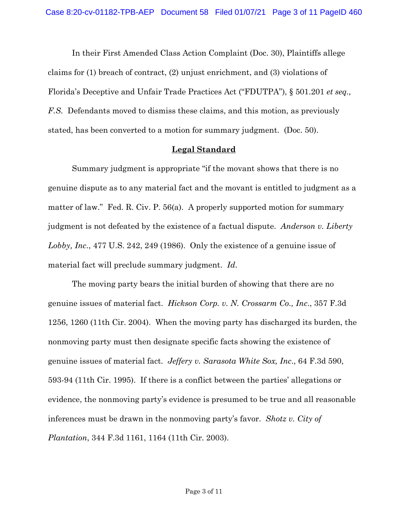In their First Amended Class Action Complaint (Doc. 30), Plaintiffs allege claims for (1) breach of contract, (2) unjust enrichment, and (3) violations of Florida's Deceptive and Unfair Trade Practices Act ("FDUTPA"), § 501.201 *et seq., F.S.* Defendants moved to dismiss these claims, and this motion, as previously stated, has been converted to a motion for summary judgment. (Doc. 50).

#### **Legal Standard**

Summary judgment is appropriate "if the movant shows that there is no genuine dispute as to any material fact and the movant is entitled to judgment as a matter of law." Fed. R. Civ. P. 56(a). A properly supported motion for summary judgment is not defeated by the existence of a factual dispute. *Anderson v. Liberty Lobby, Inc*., 477 U.S. 242, 249 (1986). Only the existence of a genuine issue of material fact will preclude summary judgment. *Id*.

The moving party bears the initial burden of showing that there are no genuine issues of material fact. *Hickson Corp. v. N. Crossarm Co., Inc*., 357 F.3d 1256, 1260 (11th Cir. 2004). When the moving party has discharged its burden, the nonmoving party must then designate specific facts showing the existence of genuine issues of material fact. *Jeffery v. Sarasota White Sox, Inc*., 64 F.3d 590, 593-94 (11th Cir. 1995). If there is a conflict between the parties' allegations or evidence, the nonmoving party's evidence is presumed to be true and all reasonable inferences must be drawn in the nonmoving party's favor. *Shotz v. City of Plantation*, 344 F.3d 1161, 1164 (11th Cir. 2003).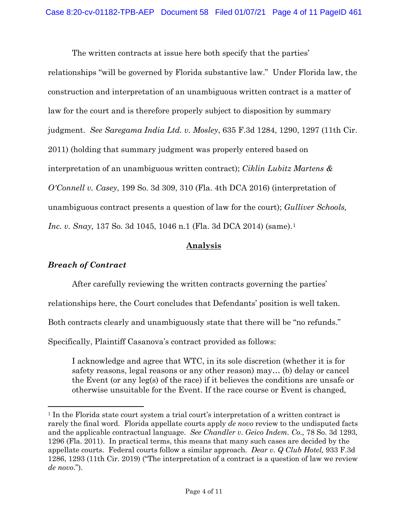The written contracts at issue here both specify that the parties'

relationships "will be governed by Florida substantive law." Under Florida law, the construction and interpretation of an unambiguous written contract is a matter of law for the court and is therefore properly subject to disposition by summary judgment. *See Saregama India Ltd. v. Mosley*, 635 F.3d 1284, 1290, 1297 (11th Cir. 2011) (holding that summary judgment was properly entered based on interpretation of an unambiguous written contract); *Ciklin Lubitz Martens & O'Connell v. Casey*, 199 So. 3d 309, 310 (Fla. 4th DCA 2016) (interpretation of unambiguous contract presents a question of law for the court); *Gulliver Schools, Inc. v. Snay*, 137 So. 3d 1045, 1046 n.1 (Fla. 3d DCA 2014) (same).<sup>1</sup>

## **Analysis**

### *Breach of Contract*

After carefully reviewing the written contracts governing the parties'

relationships here, the Court concludes that Defendants' position is well taken.

Both contracts clearly and unambiguously state that there will be "no refunds."

Specifically, Plaintiff Casanova's contract provided as follows:

I acknowledge and agree that WTC, in its sole discretion (whether it is for safety reasons, legal reasons or any other reason) may… (b) delay or cancel the Event (or any leg(s) of the race) if it believes the conditions are unsafe or otherwise unsuitable for the Event. If the race course or Event is changed,

<sup>1</sup> In the Florida state court system a trial court's interpretation of a written contract is rarely the final word. Florida appellate courts apply *de novo* review to the undisputed facts and the applicable contractual language. *See Chandler v. Geico Indem. Co.,* 78 So. 3d 1293, 1296 (Fla. 2011). In practical terms, this means that many such cases are decided by the appellate courts. Federal courts follow a similar approach. *Dear v. Q Club Hotel,* 933 F.3d 1286, 1293 (11th Cir. 2019) ("The interpretation of a contract is a question of law we review *de novo*.").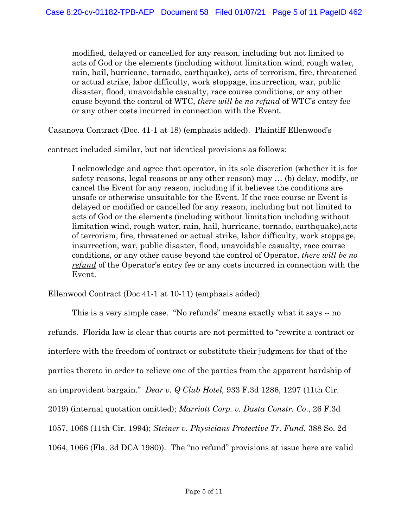modified, delayed or cancelled for any reason, including but not limited to acts of God or the elements (including without limitation wind, rough water, rain, hail, hurricane, tornado, earthquake), acts of terrorism, fire, threatened or actual strike, labor difficulty, work stoppage, insurrection, war, public disaster, flood, unavoidable casualty, race course conditions, or any other cause beyond the control of WTC, *there will be no refund* of WTC's entry fee or any other costs incurred in connection with the Event.

Casanova Contract (Doc. 41-1 at 18) (emphasis added). Plaintiff Ellenwood's

contract included similar, but not identical provisions as follows:

I acknowledge and agree that operator, in its sole discretion (whether it is for safety reasons, legal reasons or any other reason) may … (b) delay, modify, or cancel the Event for any reason, including if it believes the conditions are unsafe or otherwise unsuitable for the Event. If the race course or Event is delayed or modified or cancelled for any reason, including but not limited to acts of God or the elements (including without limitation including without limitation wind, rough water, rain, hail, hurricane, tornado, earthquake),acts of terrorism, fire, threatened or actual strike, labor difficulty, work stoppage, insurrection, war, public disaster, flood, unavoidable casualty, race course conditions, or any other cause beyond the control of Operator, *there will be no refund* of the Operator's entry fee or any costs incurred in connection with the Event.

Ellenwood Contract (Doc 41-1 at 10-11) (emphasis added).

This is a very simple case. "No refunds" means exactly what it says -- no refunds. Florida law is clear that courts are not permitted to "rewrite a contract or interfere with the freedom of contract or substitute their judgment for that of the parties thereto in order to relieve one of the parties from the apparent hardship of an improvident bargain." *Dear v. Q Club Hotel,* 933 F.3d 1286, 1297 (11th Cir. 2019) (internal quotation omitted); *Marriott Corp. v. Dasta Constr. Co*., 26 F.3d 1057, 1068 (11th Cir. 1994); *Steiner v. Physicians Protective Tr. Fund*, 388 So. 2d 1064, 1066 (Fla. 3d DCA 1980)). The "no refund" provisions at issue here are valid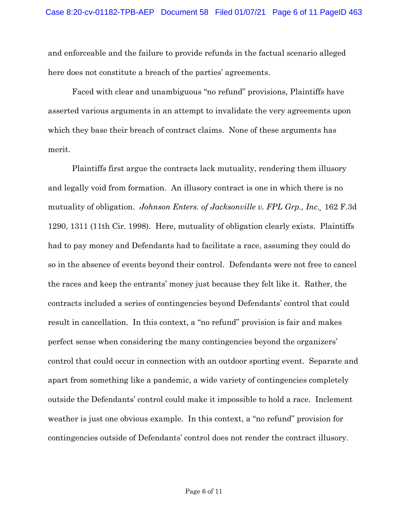and enforceable and the failure to provide refunds in the factual scenario alleged here does not constitute a breach of the parties' agreements.

Faced with clear and unambiguous "no refund" provisions, Plaintiffs have asserted various arguments in an attempt to invalidate the very agreements upon which they base their breach of contract claims. None of these arguments has merit.

Plaintiffs first argue the contracts lack mutuality, rendering them illusory and legally void from formation. An illusory contract is one in which there is no mutuality of obligation. *Johnson Enters. of Jacksonville v. FPL Grp., Inc.¸* 162 F.3d 1290, 1311 (11th Cir. 1998). Here, mutuality of obligation clearly exists. Plaintiffs had to pay money and Defendants had to facilitate a race, assuming they could do so in the absence of events beyond their control. Defendants were not free to cancel the races and keep the entrants' money just because they felt like it. Rather, the contracts included a series of contingencies beyond Defendants' control that could result in cancellation. In this context, a "no refund" provision is fair and makes perfect sense when considering the many contingencies beyond the organizers' control that could occur in connection with an outdoor sporting event. Separate and apart from something like a pandemic, a wide variety of contingencies completely outside the Defendants' control could make it impossible to hold a race. Inclement weather is just one obvious example. In this context, a "no refund" provision for contingencies outside of Defendants' control does not render the contract illusory.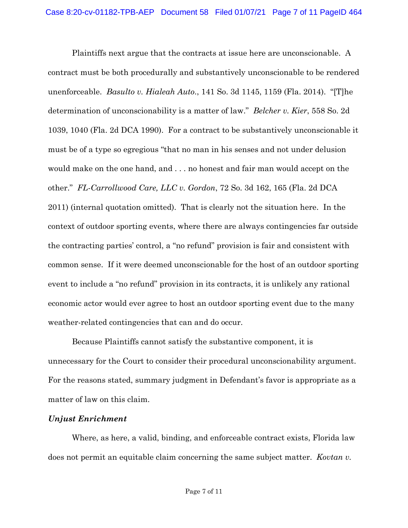Plaintiffs next argue that the contracts at issue here are unconscionable. A contract must be both procedurally and substantively unconscionable to be rendered unenforceable. *Basulto v. Hialeah Auto*., 141 So. 3d 1145, 1159 (Fla. 2014). "[T]he determination of unconscionability is a matter of law." *Belcher v. Kier*, 558 So. 2d 1039, 1040 (Fla. 2d DCA 1990). For a contract to be substantively unconscionable it must be of a type so egregious "that no man in his senses and not under delusion would make on the one hand, and . . . no honest and fair man would accept on the other." *FL-Carrollwood Care, LLC v. Gordon*, 72 So. 3d 162, 165 (Fla. 2d DCA 2011) (internal quotation omitted). That is clearly not the situation here. In the context of outdoor sporting events, where there are always contingencies far outside the contracting parties' control, a "no refund" provision is fair and consistent with common sense. If it were deemed unconscionable for the host of an outdoor sporting event to include a "no refund" provision in its contracts, it is unlikely any rational economic actor would ever agree to host an outdoor sporting event due to the many weather-related contingencies that can and do occur.

Because Plaintiffs cannot satisfy the substantive component, it is unnecessary for the Court to consider their procedural unconscionability argument. For the reasons stated, summary judgment in Defendant's favor is appropriate as a matter of law on this claim.

#### *Unjust Enrichment*

Where, as here, a valid, binding, and enforceable contract exists, Florida law does not permit an equitable claim concerning the same subject matter. *Kovtan v.*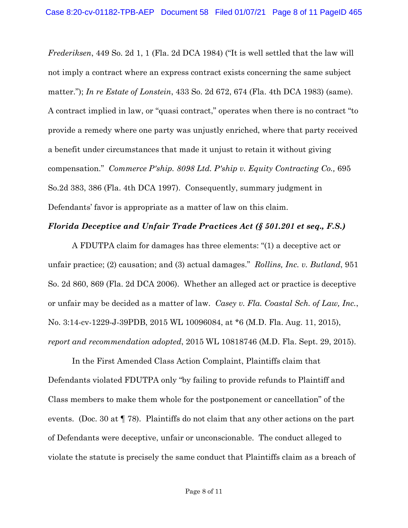*Frederiksen*, 449 So. 2d 1, 1 (Fla. 2d DCA 1984) ("It is well settled that the law will not imply a contract where an express contract exists concerning the same subject matter."); *In re Estate of Lonstein*, 433 So. 2d 672, 674 (Fla. 4th DCA 1983) (same). A contract implied in law, or "quasi contract," operates when there is no contract "to provide a remedy where one party was unjustly enriched, where that party received a benefit under circumstances that made it unjust to retain it without giving compensation." *Commerce P'ship. 8098 Ltd. P'ship v. Equity Contracting Co.,* 695 So.2d 383, 386 (Fla. 4th DCA 1997). Consequently, summary judgment in Defendants' favor is appropriate as a matter of law on this claim.

#### *Florida Deceptive and Unfair Trade Practices Act (§ 501.201 et seq., F.S.)*

A FDUTPA claim for damages has three elements: "(1) a deceptive act or unfair practice; (2) causation; and (3) actual damages." *Rollins, Inc. v. Butland*, 951 So. 2d 860, 869 (Fla. 2d DCA 2006). Whether an alleged act or practice is deceptive or unfair may be decided as a matter of law. *Casey v. Fla. Coastal Sch. of Law, Inc.*, No. 3:14-cv-1229-J-39PDB, 2015 WL 10096084, at \*6 (M.D. Fla. Aug. 11, 2015), *report and recommendation adopted*, 2015 WL 10818746 (M.D. Fla. Sept. 29, 2015).

In the First Amended Class Action Complaint, Plaintiffs claim that Defendants violated FDUTPA only "by failing to provide refunds to Plaintiff and Class members to make them whole for the postponement or cancellation" of the events. (Doc. 30 at  $\P$  78). Plaintiffs do not claim that any other actions on the part of Defendants were deceptive, unfair or unconscionable. The conduct alleged to violate the statute is precisely the same conduct that Plaintiffs claim as a breach of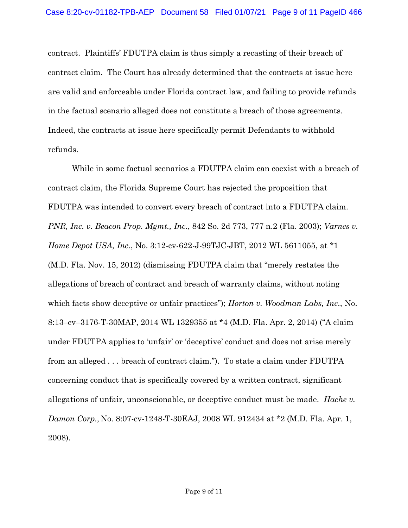contract. Plaintiffs' FDUTPA claim is thus simply a recasting of their breach of contract claim. The Court has already determined that the contracts at issue here are valid and enforceable under Florida contract law, and failing to provide refunds in the factual scenario alleged does not constitute a breach of those agreements. Indeed, the contracts at issue here specifically permit Defendants to withhold refunds.

While in some factual scenarios a FDUTPA claim can coexist with a breach of contract claim, the Florida Supreme Court has rejected the proposition that FDUTPA was intended to convert every breach of contract into a FDUTPA claim. *PNR, Inc. v. Beacon Prop. Mgmt., Inc*., 842 So. 2d 773, 777 n.2 (Fla. 2003); *Varnes v. Home Depot USA, Inc., No.* 3:12-cv-622-J-99TJC-JBT, 2012 WL 5611055, at \*1 (M.D. Fla. Nov. 15, 2012) (dismissing FDUTPA claim that "merely restates the allegations of breach of contract and breach of warranty claims, without noting which facts show deceptive or unfair practices"); *Horton v. Woodman Labs, Inc*., No. 8:13–cv–3176-T-30MAP, 2014 WL 1329355 at \*4 (M.D. Fla. Apr. 2, 2014) ("A claim under FDUTPA applies to 'unfair' or 'deceptive' conduct and does not arise merely from an alleged . . . breach of contract claim."). To state a claim under FDUTPA concerning conduct that is specifically covered by a written contract, significant allegations of unfair, unconscionable, or deceptive conduct must be made. *Hache v. Damon Corp.*, No. 8:07-cv-1248-T-30EAJ, 2008 WL 912434 at \*2 (M.D. Fla. Apr. 1, 2008).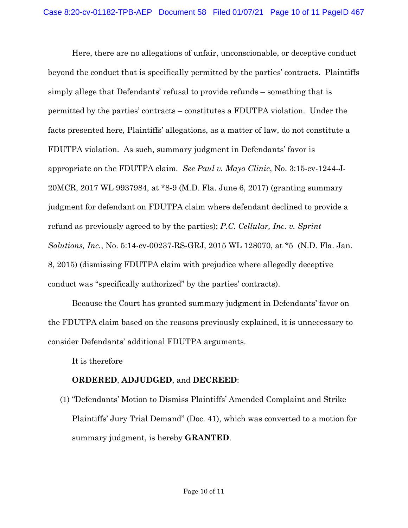Here, there are no allegations of unfair, unconscionable, or deceptive conduct beyond the conduct that is specifically permitted by the parties' contracts. Plaintiffs simply allege that Defendants' refusal to provide refunds – something that is permitted by the parties' contracts – constitutes a FDUTPA violation. Under the facts presented here, Plaintiffs' allegations, as a matter of law, do not constitute a FDUTPA violation. As such, summary judgment in Defendants' favor is appropriate on the FDUTPA claim. *See Paul v. Mayo Clinic*, No. 3:15-cv-1244-J-20MCR, 2017 WL 9937984, at \*8-9 (M.D. Fla. June 6, 2017) (granting summary judgment for defendant on FDUTPA claim where defendant declined to provide a refund as previously agreed to by the parties); *P.C. Cellular, Inc. v. Sprint Solutions, Inc.*, No. 5:14-cv-00237-RS-GRJ, 2015 WL 128070, at \*5 (N.D. Fla. Jan. 8, 2015) (dismissing FDUTPA claim with prejudice where allegedly deceptive conduct was "specifically authorized" by the parties' contracts).

Because the Court has granted summary judgment in Defendants' favor on the FDUTPA claim based on the reasons previously explained, it is unnecessary to consider Defendants' additional FDUTPA arguments.

It is therefore

# **ORDERED**, **ADJUDGED**, and **DECREED**:

(1) "Defendants' Motion to Dismiss Plaintiffs' Amended Complaint and Strike Plaintiffs' Jury Trial Demand" (Doc. 41), which was converted to a motion for summary judgment, is hereby **GRANTED**.